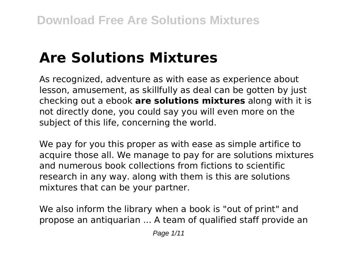# **Are Solutions Mixtures**

As recognized, adventure as with ease as experience about lesson, amusement, as skillfully as deal can be gotten by just checking out a ebook **are solutions mixtures** along with it is not directly done, you could say you will even more on the subject of this life, concerning the world.

We pay for you this proper as with ease as simple artifice to acquire those all. We manage to pay for are solutions mixtures and numerous book collections from fictions to scientific research in any way. along with them is this are solutions mixtures that can be your partner.

We also inform the library when a book is "out of print" and propose an antiquarian ... A team of qualified staff provide an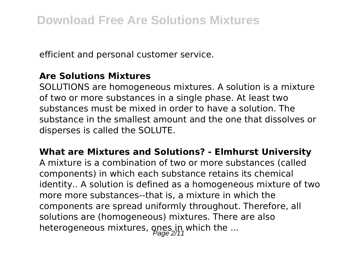efficient and personal customer service.

### **Are Solutions Mixtures**

SOLUTIONS are homogeneous mixtures. A solution is a mixture of two or more substances in a single phase. At least two substances must be mixed in order to have a solution. The substance in the smallest amount and the one that dissolves or disperses is called the SOLUTE.

**What are Mixtures and Solutions? - Elmhurst University**

A mixture is a combination of two or more substances (called components) in which each substance retains its chemical identity.. A solution is defined as a homogeneous mixture of two more more substances--that is, a mixture in which the components are spread uniformly throughout. Therefore, all solutions are (homogeneous) mixtures. There are also heterogeneous mixtures, ones in which the ...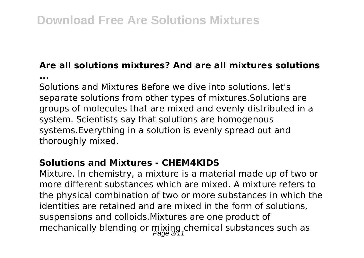# **Are all solutions mixtures? And are all mixtures solutions**

**...**

Solutions and Mixtures Before we dive into solutions, let's separate solutions from other types of mixtures.Solutions are groups of molecules that are mixed and evenly distributed in a system. Scientists say that solutions are homogenous systems.Everything in a solution is evenly spread out and thoroughly mixed.

### **Solutions and Mixtures - CHEM4KIDS**

Mixture. In chemistry, a mixture is a material made up of two or more different substances which are mixed. A mixture refers to the physical combination of two or more substances in which the identities are retained and are mixed in the form of solutions, suspensions and colloids.Mixtures are one product of mechanically blending or  $\min_{\text{Page 3/1}}$ chemical substances such as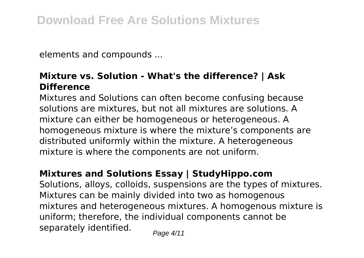elements and compounds ...

# **Mixture vs. Solution - What's the difference? | Ask Difference**

Mixtures and Solutions can often become confusing because solutions are mixtures, but not all mixtures are solutions. A mixture can either be homogeneous or heterogeneous. A homogeneous mixture is where the mixture's components are distributed uniformly within the mixture. A heterogeneous mixture is where the components are not uniform.

# **Mixtures and Solutions Essay | StudyHippo.com**

Solutions, alloys, colloids, suspensions are the types of mixtures. Mixtures can be mainly divided into two as homogenous mixtures and heterogeneous mixtures. A homogenous mixture is uniform; therefore, the individual components cannot be separately identified.  $P_{\text{face 4/11}}$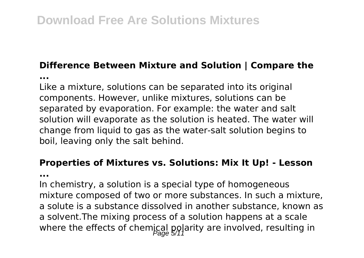# **Difference Between Mixture and Solution | Compare the**

**...**

Like a mixture, solutions can be separated into its original components. However, unlike mixtures, solutions can be separated by evaporation. For example: the water and salt solution will evaporate as the solution is heated. The water will change from liquid to gas as the water-salt solution begins to boil, leaving only the salt behind.

# **Properties of Mixtures vs. Solutions: Mix It Up! - Lesson**

**...**

In chemistry, a solution is a special type of homogeneous mixture composed of two or more substances. In such a mixture, a solute is a substance dissolved in another substance, known as a solvent.The mixing process of a solution happens at a scale where the effects of chemical polarity are involved, resulting in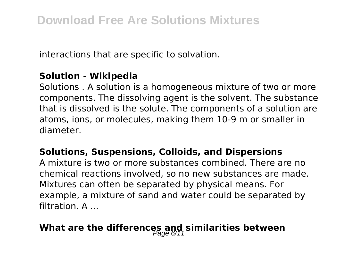interactions that are specific to solvation.

## **Solution - Wikipedia**

Solutions . A solution is a homogeneous mixture of two or more components. The dissolving agent is the solvent. The substance that is dissolved is the solute. The components of a solution are atoms, ions, or molecules, making them 10-9 m or smaller in diameter.

### **Solutions, Suspensions, Colloids, and Dispersions**

A mixture is two or more substances combined. There are no chemical reactions involved, so no new substances are made. Mixtures can often be separated by physical means. For example, a mixture of sand and water could be separated by filtration. A ...

# What are the differences and similarities between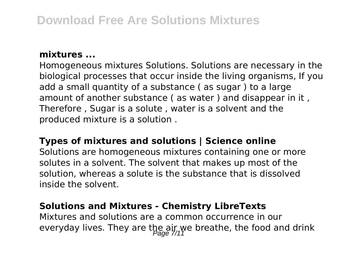#### **mixtures ...**

Homogeneous mixtures Solutions. Solutions are necessary in the biological processes that occur inside the living organisms, If you add a small quantity of a substance ( as sugar ) to a large amount of another substance ( as water ) and disappear in it , Therefore , Sugar is a solute , water is a solvent and the produced mixture is a solution .

### **Types of mixtures and solutions | Science online**

Solutions are homogeneous mixtures containing one or more solutes in a solvent. The solvent that makes up most of the solution, whereas a solute is the substance that is dissolved inside the solvent.

#### **Solutions and Mixtures - Chemistry LibreTexts**

Mixtures and solutions are a common occurrence in our everyday lives. They are the air we breathe, the food and drink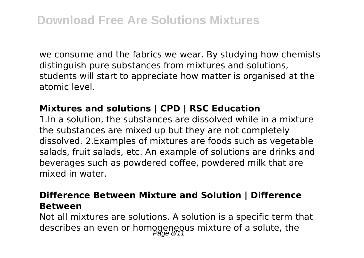we consume and the fabrics we wear. By studying how chemists distinguish pure substances from mixtures and solutions, students will start to appreciate how matter is organised at the atomic level.

# **Mixtures and solutions | CPD | RSC Education**

1.In a solution, the substances are dissolved while in a mixture the substances are mixed up but they are not completely dissolved. 2.Examples of mixtures are foods such as vegetable salads, fruit salads, etc. An example of solutions are drinks and beverages such as powdered coffee, powdered milk that are mixed in water.

### **Difference Between Mixture and Solution | Difference Between**

Not all mixtures are solutions. A solution is a specific term that describes an even or homogeneous mixture of a solute, the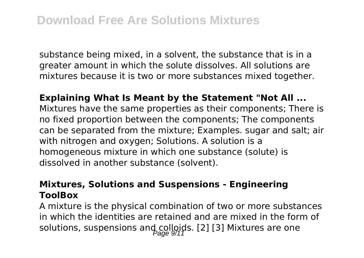substance being mixed, in a solvent, the substance that is in a greater amount in which the solute dissolves. All solutions are mixtures because it is two or more substances mixed together.

**Explaining What Is Meant by the Statement "Not All ...** Mixtures have the same properties as their components; There is no fixed proportion between the components; The components can be separated from the mixture; Examples. sugar and salt; air with nitrogen and oxygen; Solutions. A solution is a homogeneous mixture in which one substance (solute) is dissolved in another substance (solvent).

### **Mixtures, Solutions and Suspensions - Engineering ToolBox**

A mixture is the physical combination of two or more substances in which the identities are retained and are mixed in the form of solutions, suspensions and colloids. [2] [3] Mixtures are one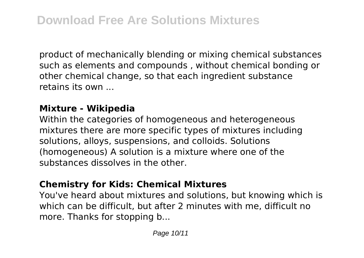product of mechanically blending or mixing chemical substances such as elements and compounds , without chemical bonding or other chemical change, so that each ingredient substance retains its own ...

# **Mixture - Wikipedia**

Within the categories of homogeneous and heterogeneous mixtures there are more specific types of mixtures including solutions, alloys, suspensions, and colloids. Solutions (homogeneous) A solution is a mixture where one of the substances dissolves in the other.

### **Chemistry for Kids: Chemical Mixtures**

You've heard about mixtures and solutions, but knowing which is which can be difficult, but after 2 minutes with me, difficult no more. Thanks for stopping b...